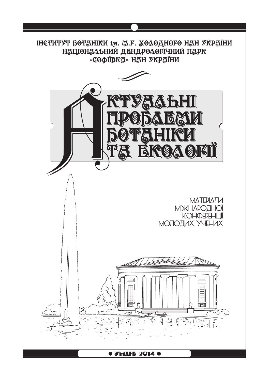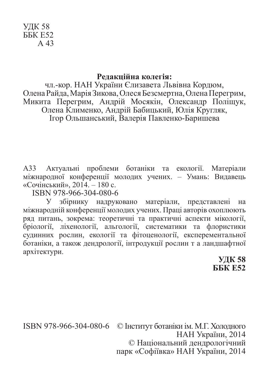## УДК 58 ББК Е52 А 43

## **Редакційна колегія:**

чл.-кор. НАН України Єлизавета Львівна Кордюм, Олена Райда, Марія Зикова, Олеся Безсмертна, Олена Перегрим, Микита Перегрим, Андрій Мосякін, Олександр Поліщук, Олена Клименко, Андрій Бабицький, Юлія Кругляк, Ігор Ольшанський, Валерія Павленко-Баришева

А33 Актуальні проблеми ботаніки та екології. Матеріали міжнародної конференції молодих учених. – Умань: Видавець «Сочінський», 2014. – 180 с.

ISBN 978-966-304-080-6

У збірнику надруковано матеріали, представлені на міжнародній конференції молодих учених. Праці авторів охоплюють ряд питань, зокрема: теоретичні та практичні аспекти мікології, бріології, ліхенології, альгології, систематики та флористики судинних рослин, екології та фітоценології, експерементальної ботаніки, а також дендрології, інтродукції рослин т а ландшафтної архітектури.

**УДК 58 ББК Е52**

ISBN 978-966-304-080-6 © Інститут ботаніки ім. М.Г. Холодного НАН України, 2014 © Національний дендрологічний парк «Софіївка» НАН України, 2014